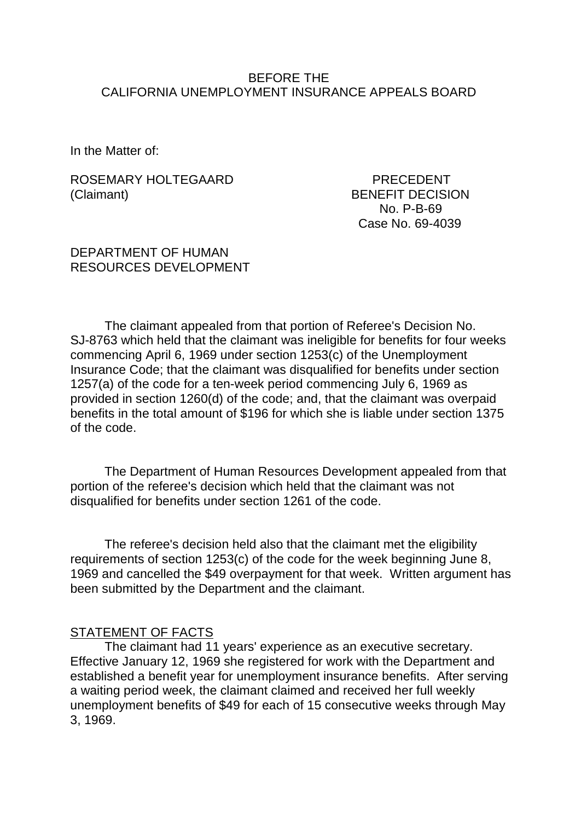### BEFORE THE CALIFORNIA UNEMPLOYMENT INSURANCE APPEALS BOARD

In the Matter of:

### ROSEMARY HOLTEGAARD PRECEDENT (Claimant) BENEFIT DECISION

 No. P-B-69 Case No. 69-4039

### DEPARTMENT OF HUMAN RESOURCES DEVELOPMENT

The claimant appealed from that portion of Referee's Decision No. SJ-8763 which held that the claimant was ineligible for benefits for four weeks commencing April 6, 1969 under section 1253(c) of the Unemployment Insurance Code; that the claimant was disqualified for benefits under section 1257(a) of the code for a ten-week period commencing July 6, 1969 as provided in section 1260(d) of the code; and, that the claimant was overpaid benefits in the total amount of \$196 for which she is liable under section 1375 of the code.

The Department of Human Resources Development appealed from that portion of the referee's decision which held that the claimant was not disqualified for benefits under section 1261 of the code.

The referee's decision held also that the claimant met the eligibility requirements of section 1253(c) of the code for the week beginning June 8, 1969 and cancelled the \$49 overpayment for that week. Written argument has been submitted by the Department and the claimant.

## STATEMENT OF FACTS

The claimant had 11 years' experience as an executive secretary. Effective January 12, 1969 she registered for work with the Department and established a benefit year for unemployment insurance benefits. After serving a waiting period week, the claimant claimed and received her full weekly unemployment benefits of \$49 for each of 15 consecutive weeks through May 3, 1969.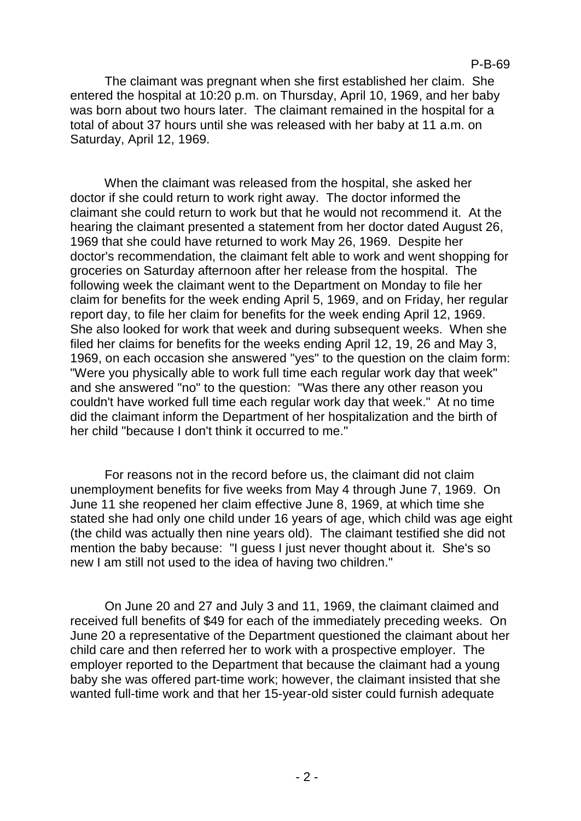## P-B-69

The claimant was pregnant when she first established her claim. She entered the hospital at 10:20 p.m. on Thursday, April 10, 1969, and her baby was born about two hours later. The claimant remained in the hospital for a total of about 37 hours until she was released with her baby at 11 a.m. on Saturday, April 12, 1969.

When the claimant was released from the hospital, she asked her doctor if she could return to work right away. The doctor informed the claimant she could return to work but that he would not recommend it. At the hearing the claimant presented a statement from her doctor dated August 26, 1969 that she could have returned to work May 26, 1969. Despite her doctor's recommendation, the claimant felt able to work and went shopping for groceries on Saturday afternoon after her release from the hospital. The following week the claimant went to the Department on Monday to file her claim for benefits for the week ending April 5, 1969, and on Friday, her regular report day, to file her claim for benefits for the week ending April 12, 1969. She also looked for work that week and during subsequent weeks. When she filed her claims for benefits for the weeks ending April 12, 19, 26 and May 3, 1969, on each occasion she answered "yes" to the question on the claim form: "Were you physically able to work full time each regular work day that week" and she answered "no" to the question: "Was there any other reason you couldn't have worked full time each regular work day that week." At no time did the claimant inform the Department of her hospitalization and the birth of her child "because I don't think it occurred to me."

For reasons not in the record before us, the claimant did not claim unemployment benefits for five weeks from May 4 through June 7, 1969. On June 11 she reopened her claim effective June 8, 1969, at which time she stated she had only one child under 16 years of age, which child was age eight (the child was actually then nine years old). The claimant testified she did not mention the baby because: "I guess I just never thought about it. She's so new I am still not used to the idea of having two children."

On June 20 and 27 and July 3 and 11, 1969, the claimant claimed and received full benefits of \$49 for each of the immediately preceding weeks. On June 20 a representative of the Department questioned the claimant about her child care and then referred her to work with a prospective employer. The employer reported to the Department that because the claimant had a young baby she was offered part-time work; however, the claimant insisted that she wanted full-time work and that her 15-year-old sister could furnish adequate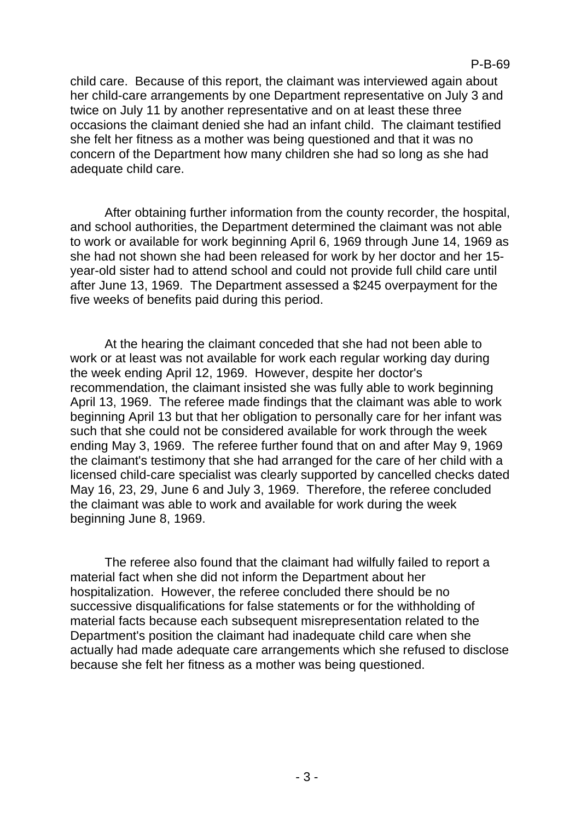child care. Because of this report, the claimant was interviewed again about her child-care arrangements by one Department representative on July 3 and twice on July 11 by another representative and on at least these three occasions the claimant denied she had an infant child. The claimant testified she felt her fitness as a mother was being questioned and that it was no concern of the Department how many children she had so long as she had adequate child care.

After obtaining further information from the county recorder, the hospital, and school authorities, the Department determined the claimant was not able to work or available for work beginning April 6, 1969 through June 14, 1969 as she had not shown she had been released for work by her doctor and her 15 year-old sister had to attend school and could not provide full child care until after June 13, 1969. The Department assessed a \$245 overpayment for the five weeks of benefits paid during this period.

At the hearing the claimant conceded that she had not been able to work or at least was not available for work each regular working day during the week ending April 12, 1969. However, despite her doctor's recommendation, the claimant insisted she was fully able to work beginning April 13, 1969. The referee made findings that the claimant was able to work beginning April 13 but that her obligation to personally care for her infant was such that she could not be considered available for work through the week ending May 3, 1969. The referee further found that on and after May 9, 1969 the claimant's testimony that she had arranged for the care of her child with a licensed child-care specialist was clearly supported by cancelled checks dated May 16, 23, 29, June 6 and July 3, 1969. Therefore, the referee concluded the claimant was able to work and available for work during the week beginning June 8, 1969.

The referee also found that the claimant had wilfully failed to report a material fact when she did not inform the Department about her hospitalization. However, the referee concluded there should be no successive disqualifications for false statements or for the withholding of material facts because each subsequent misrepresentation related to the Department's position the claimant had inadequate child care when she actually had made adequate care arrangements which she refused to disclose because she felt her fitness as a mother was being questioned.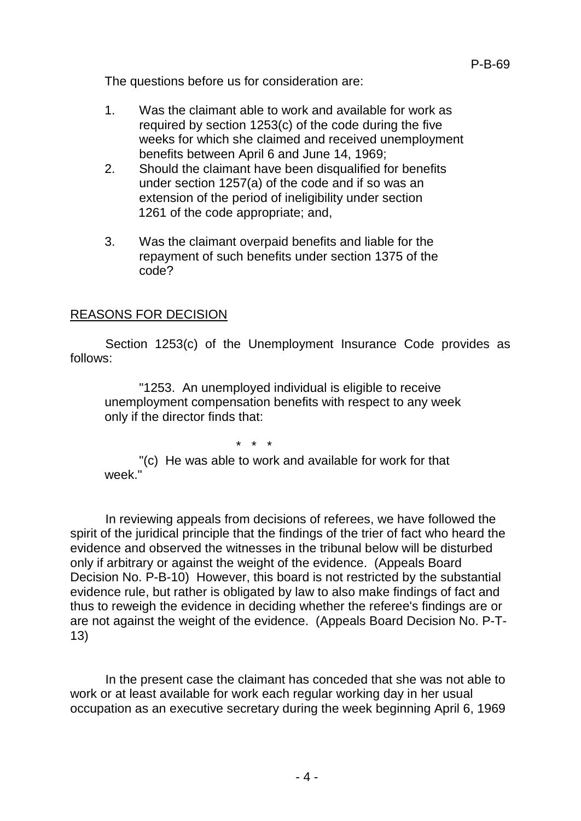The questions before us for consideration are:

- 1. Was the claimant able to work and available for work as required by section 1253(c) of the code during the five weeks for which she claimed and received unemployment benefits between April 6 and June 14, 1969;
- 2. Should the claimant have been disqualified for benefits under section 1257(a) of the code and if so was an extension of the period of ineligibility under section 1261 of the code appropriate; and,
- 3. Was the claimant overpaid benefits and liable for the repayment of such benefits under section 1375 of the code?

## REASONS FOR DECISION

Section 1253(c) of the Unemployment Insurance Code provides as follows:

"1253. An unemployed individual is eligible to receive unemployment compensation benefits with respect to any week only if the director finds that:

\* \* \*

"(c) He was able to work and available for work for that week<sup>"</sup>

In reviewing appeals from decisions of referees, we have followed the spirit of the juridical principle that the findings of the trier of fact who heard the evidence and observed the witnesses in the tribunal below will be disturbed only if arbitrary or against the weight of the evidence. (Appeals Board Decision No. P-B-10) However, this board is not restricted by the substantial evidence rule, but rather is obligated by law to also make findings of fact and thus to reweigh the evidence in deciding whether the referee's findings are or are not against the weight of the evidence. (Appeals Board Decision No. P-T-13)

In the present case the claimant has conceded that she was not able to work or at least available for work each regular working day in her usual occupation as an executive secretary during the week beginning April 6, 1969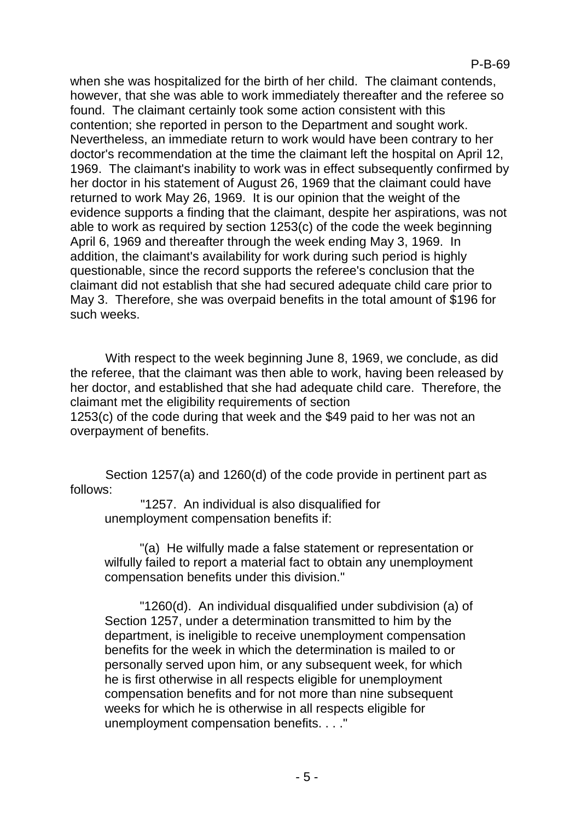when she was hospitalized for the birth of her child. The claimant contends, however, that she was able to work immediately thereafter and the referee so found. The claimant certainly took some action consistent with this contention; she reported in person to the Department and sought work. Nevertheless, an immediate return to work would have been contrary to her doctor's recommendation at the time the claimant left the hospital on April 12, 1969. The claimant's inability to work was in effect subsequently confirmed by her doctor in his statement of August 26, 1969 that the claimant could have returned to work May 26, 1969. It is our opinion that the weight of the evidence supports a finding that the claimant, despite her aspirations, was not able to work as required by section 1253(c) of the code the week beginning April 6, 1969 and thereafter through the week ending May 3, 1969. In addition, the claimant's availability for work during such period is highly questionable, since the record supports the referee's conclusion that the claimant did not establish that she had secured adequate child care prior to May 3. Therefore, she was overpaid benefits in the total amount of \$196 for such weeks.

With respect to the week beginning June 8, 1969, we conclude, as did the referee, that the claimant was then able to work, having been released by her doctor, and established that she had adequate child care. Therefore, the claimant met the eligibility requirements of section 1253(c) of the code during that week and the \$49 paid to her was not an overpayment of benefits.

Section 1257(a) and 1260(d) of the code provide in pertinent part as follows:

"1257. An individual is also disqualified for unemployment compensation benefits if:

"(a) He wilfully made a false statement or representation or wilfully failed to report a material fact to obtain any unemployment compensation benefits under this division."

"1260(d). An individual disqualified under subdivision (a) of Section 1257, under a determination transmitted to him by the department, is ineligible to receive unemployment compensation benefits for the week in which the determination is mailed to or personally served upon him, or any subsequent week, for which he is first otherwise in all respects eligible for unemployment compensation benefits and for not more than nine subsequent weeks for which he is otherwise in all respects eligible for unemployment compensation benefits. . . ."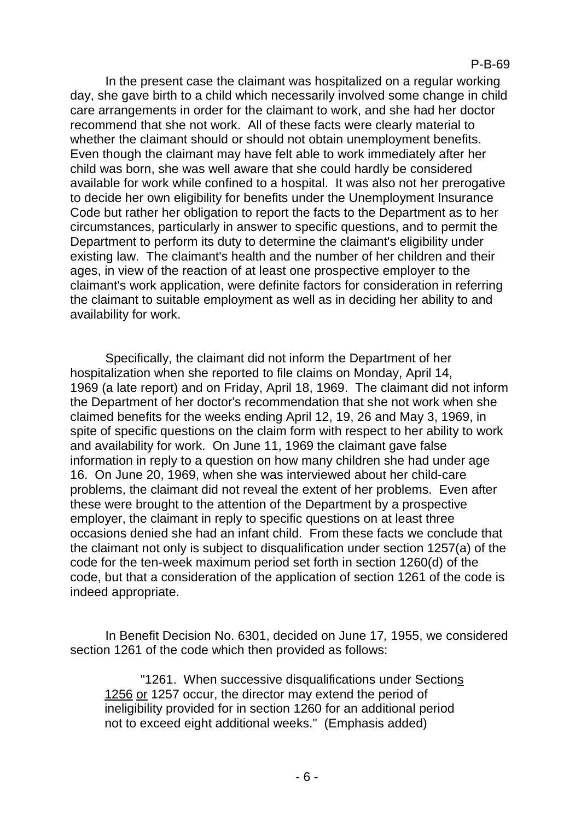In the present case the claimant was hospitalized on a regular working day, she gave birth to a child which necessarily involved some change in child care arrangements in order for the claimant to work, and she had her doctor recommend that she not work. All of these facts were clearly material to whether the claimant should or should not obtain unemployment benefits. Even though the claimant may have felt able to work immediately after her child was born, she was well aware that she could hardly be considered available for work while confined to a hospital. It was also not her prerogative to decide her own eligibility for benefits under the Unemployment Insurance Code but rather her obligation to report the facts to the Department as to her circumstances, particularly in answer to specific questions, and to permit the Department to perform its duty to determine the claimant's eligibility under existing law. The claimant's health and the number of her children and their ages, in view of the reaction of at least one prospective employer to the claimant's work application, were definite factors for consideration in referring the claimant to suitable employment as well as in deciding her ability to and availability for work.

Specifically, the claimant did not inform the Department of her hospitalization when she reported to file claims on Monday, April 14, 1969 (a late report) and on Friday, April 18, 1969. The claimant did not inform the Department of her doctor's recommendation that she not work when she claimed benefits for the weeks ending April 12, 19, 26 and May 3, 1969, in spite of specific questions on the claim form with respect to her ability to work and availability for work. On June 11, 1969 the claimant gave false information in reply to a question on how many children she had under age 16. On June 20, 1969, when she was interviewed about her child-care problems, the claimant did not reveal the extent of her problems. Even after these were brought to the attention of the Department by a prospective employer, the claimant in reply to specific questions on at least three occasions denied she had an infant child. From these facts we conclude that the claimant not only is subject to disqualification under section 1257(a) of the code for the ten-week maximum period set forth in section 1260(d) of the code, but that a consideration of the application of section 1261 of the code is indeed appropriate.

In Benefit Decision No. 6301, decided on June 17*,* 1955, we considered section 1261 of the code which then provided as follows:

"1261. When successive disqualifications under Sections 1256 or 1257 occur, the director may extend the period of ineligibility provided for in section 1260 for an additional period not to exceed eight additional weeks." (Emphasis added)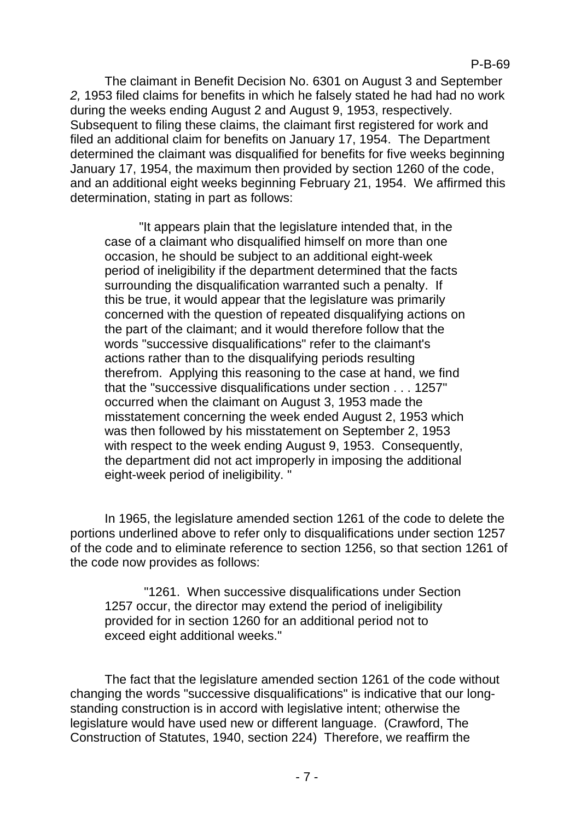The claimant in Benefit Decision No. 6301 on August 3 and September *2,* 1953 filed claims for benefits in which he falsely stated he had had no work during the weeks ending August 2 and August 9, 1953, respectively. Subsequent to filing these claims, the claimant first registered for work and filed an additional claim for benefits on January 17, 1954. The Department determined the claimant was disqualified for benefits for five weeks beginning January 17, 1954, the maximum then provided by section 1260 of the code, and an additional eight weeks beginning February 21, 1954. We affirmed this determination, stating in part as follows:

"It appears plain that the legislature intended that, in the case of a claimant who disqualified himself on more than one occasion, he should be subject to an additional eight-week period of ineligibility if the department determined that the facts surrounding the disqualification warranted such a penalty. If this be true, it would appear that the legislature was primarily concerned with the question of repeated disqualifying actions on the part of the claimant; and it would therefore follow that the words "successive disqualifications" refer to the claimant's actions rather than to the disqualifying periods resulting therefrom. Applying this reasoning to the case at hand, we find that the "successive disqualifications under section . . . 1257" occurred when the claimant on August 3, 1953 made the misstatement concerning the week ended August 2, 1953 which was then followed by his misstatement on September 2, 1953 with respect to the week ending August 9, 1953. Consequently, the department did not act improperly in imposing the additional eight-week period of ineligibility. "

In 1965, the legislature amended section 1261 of the code to delete the portions underlined above to refer only to disqualifications under section 1257 of the code and to eliminate reference to section 1256, so that section 1261 of the code now provides as follows:

"1261. When successive disqualifications under Section 1257 occur, the director may extend the period of ineligibility provided for in section 1260 for an additional period not to exceed eight additional weeks."

The fact that the legislature amended section 1261 of the code without changing the words "successive disqualifications" is indicative that our longstanding construction is in accord with legislative intent; otherwise the legislature would have used new or different language. (Crawford, The Construction of Statutes, 1940, section 224) Therefore, we reaffirm the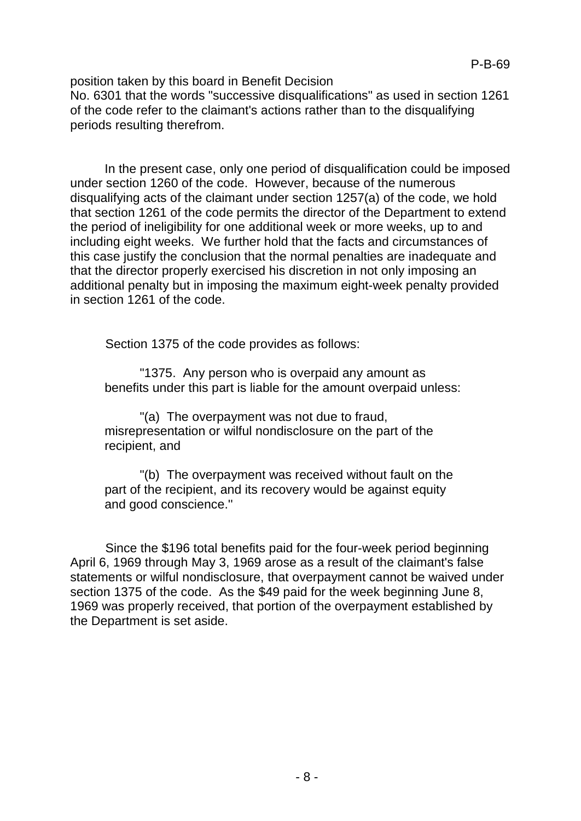position taken by this board in Benefit Decision No. 6301 that the words "successive disqualifications" as used in section 1261 of the code refer to the claimant's actions rather than to the disqualifying periods resulting therefrom.

In the present case, only one period of disqualification could be imposed under section 1260 of the code. However, because of the numerous disqualifying acts of the claimant under section 1257(a) of the code, we hold that section 1261 of the code permits the director of the Department to extend the period of ineligibility for one additional week or more weeks, up to and including eight weeks. We further hold that the facts and circumstances of this case justify the conclusion that the normal penalties are inadequate and that the director properly exercised his discretion in not only imposing an additional penalty but in imposing the maximum eight-week penalty provided in section 1261 of the code.

Section 1375 of the code provides as follows:

"1375. Any person who is overpaid any amount as benefits under this part is liable for the amount overpaid unless:

"(a) The overpayment was not due to fraud, misrepresentation or wilful nondisclosure on the part of the recipient, and

"(b) The overpayment was received without fault on the part of the recipient, and its recovery would be against equity and good conscience.''

Since the \$196 total benefits paid for the four-week period beginning April 6, 1969 through May 3, 1969 arose as a result of the claimant's false statements or wilful nondisclosure, that overpayment cannot be waived under section 1375 of the code. As the \$49 paid for the week beginning June 8, 1969 was properly received, that portion of the overpayment established by the Department is set aside.